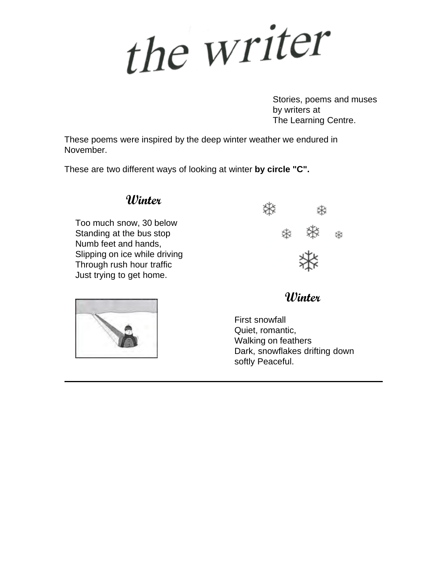the writer

Stories, poems and muses by writers at The Learning Centre.

These poems were inspired by the deep winter weather we endured in November.

These are two different ways of looking at winter **by circle "C".**

#### **Winter**

Too much snow, 30 below Standing at the bus stop Numb feet and hands, Slipping on ice while driving Through rush hour traffic Just trying to get home.





#### **Winter**

First snowfall Quiet, romantic, Walking on feathers Dark, snowflakes drifting down softly Peaceful.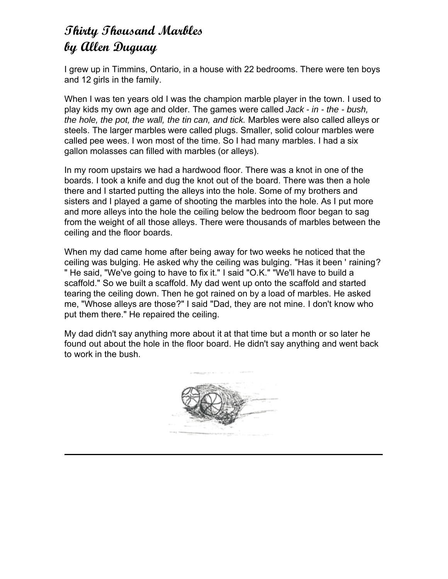## **Thirty Thousand Marbles by Allen Duguay**

I grew up in Timmins, Ontario, in a house with 22 bedrooms. There were ten boys and 12 girls in the family.

When I was ten years old I was the champion marble player in the town. I used to play kids my own age and older. The games were called *Jack - in - the - bush, the hole, the pot, the wall, the tin can, and tick.* Marbles were also called alleys or steels. The larger marbles were called plugs. Smaller, solid colour marbles were called pee wees. I won most of the time. So I had many marbles. I had a six gallon molasses can filled with marbles (or alleys).

In my room upstairs we had a hardwood floor. There was a knot in one of the boards. I took a knife and dug the knot out of the board. There was then a hole there and I started putting the alleys into the hole. Some of my brothers and sisters and I played a game of shooting the marbles into the hole. As I put more and more alleys into the hole the ceiling below the bedroom floor began to sag from the weight of all those alleys. There were thousands of marbles between the ceiling and the floor boards.

When my dad came home after being away for two weeks he noticed that the ceiling was bulging. He asked why the ceiling was bulging. "Has it been ' raining? " He said, "We've going to have to fix it." I said "O.K." "We'll have to build a scaffold." So we built a scaffold. My dad went up onto the scaffold and started tearing the ceiling down. Then he got rained on by a load of marbles. He asked me, "Whose alleys are those?" I said "Dad, they are not mine. I don't know who put them there." He repaired the ceiling.

My dad didn't say anything more about it at that time but a month or so later he found out about the hole in the floor board. He didn't say anything and went back to work in the bush.

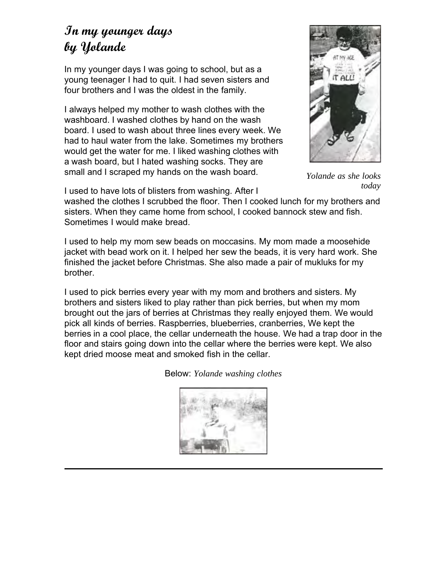### **In my younger days by Yolande**

In my younger days I was going to school, but as a young teenager I had to quit. I had seven sisters and four brothers and I was the oldest in the family.

I always helped my mother to wash clothes with the washboard. I washed clothes by hand on the wash board. I used to wash about three lines every week. We had to haul water from the lake. Sometimes my brothers would get the water for me. I liked washing clothes with a wash board, but I hated washing socks. They are small and I scraped my hands on the wash board.



*Yolande as she looks today*

I used to have lots of blisters from washing. After I

washed the clothes I scrubbed the floor. Then I cooked lunch for my brothers and sisters. When they came home from school, I cooked bannock stew and fish. Sometimes I would make bread.

I used to help my mom sew beads on moccasins. My mom made a moosehide jacket with bead work on it. I helped her sew the beads, it is very hard work. She finished the jacket before Christmas. She also made a pair of mukluks for my brother.

I used to pick berries every year with my mom and brothers and sisters. My brothers and sisters liked to play rather than pick berries, but when my mom brought out the jars of berries at Christmas they really enjoyed them. We would pick all kinds of berries. Raspberries, blueberries, cranberries, We kept the berries in a cool place, the cellar underneath the house. We had a trap door in the floor and stairs going down into the cellar where the berries were kept. We also kept dried moose meat and smoked fish in the cellar.

Below: *Yolande washing clothes*

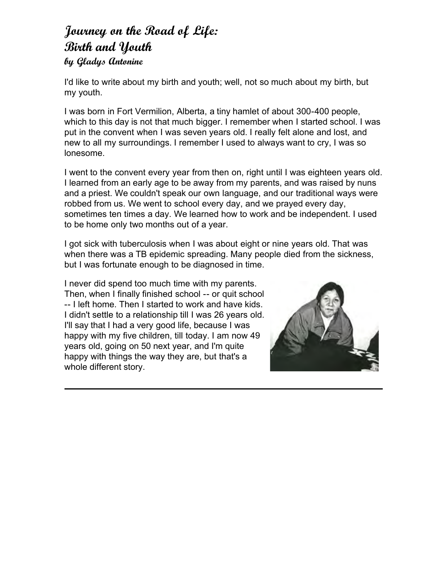# **Journey on the Road of Life: Birth and Youth**

#### **by Gladys Antonine**

I'd like to write about my birth and youth; well, not so much about my birth, but my youth.

I was born in Fort Vermilion, Alberta, a tiny hamlet of about 300-400 people, which to this day is not that much bigger. I remember when I started school. I was put in the convent when I was seven years old. I really felt alone and lost, and new to all my surroundings. I remember I used to always want to cry, I was so lonesome.

I went to the convent every year from then on, right until I was eighteen years old. I learned from an early age to be away from my parents, and was raised by nuns and a priest. We couldn't speak our own language, and our traditional ways were robbed from us. We went to school every day, and we prayed every day, sometimes ten times a day. We learned how to work and be independent. I used to be home only two months out of a year.

I got sick with tuberculosis when I was about eight or nine years old. That was when there was a TB epidemic spreading. Many people died from the sickness, but I was fortunate enough to be diagnosed in time.

I never did spend too much time with my parents. Then, when I finally finished school -- or quit school -- I left home. Then I started to work and have kids. I didn't settle to a relationship till I was 26 years old. I'll say that I had a very good life, because I was happy with my five children, till today. I am now 49 years old, going on 50 next year, and I'm quite happy with things the way they are, but that's a whole different story.

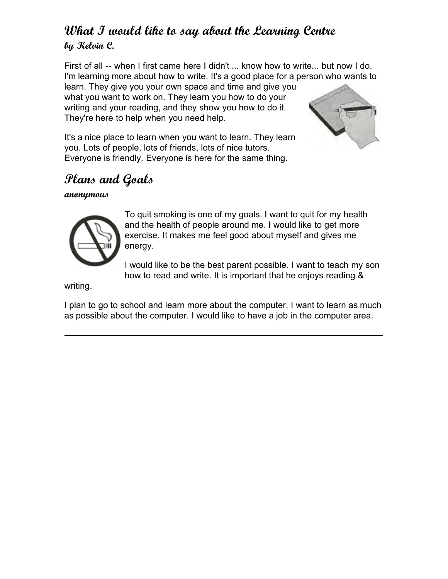### **What I would like to say about the Learning Centre by Kelvin C.**

First of all -- when I first came here I didn't ... know how to write... but now I do. I'm learning more about how to write. It's a good place for a person who wants to learn. They give you your own space and time and give you

what you want to work on. They learn you how to do your writing and your reading, and they show you how to do it. They're here to help when you need help.



It's a nice place to learn when you want to learn. They learn you. Lots of people, lots of friends, lots of nice tutors. Everyone is friendly. Everyone is here for the same thing.

## **Plans and Goals**

#### **anonymous**



To quit smoking is one of my goals. I want to quit for my health and the health of people around me. I would like to get more exercise. It makes me feel good about myself and gives me energy.

I would like to be the best parent possible. I want to teach my son how to read and write. It is important that he enjoys reading &

writing.

I plan to go to school and learn more about the computer. I want to learn as much as possible about the computer. I would like to have a job in the computer area.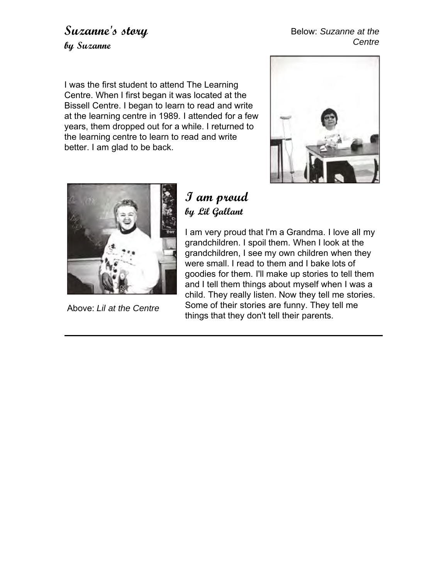### **Suzanne's story by Suzanne**

#### Below: *Suzanne at the Centre*

I was the first student to attend The Learning Centre. When I first began it was located at the Bissell Centre. I began to learn to read and write at the learning centre in 1989. I attended for a few years, them dropped out for a while. I returned to the learning centre to learn to read and write better. I am glad to be back.





Above: *Lil at the Centre*

### **I am proud by Lil Gallant**

I am very proud that I'm a Grandma. I love all my grandchildren. I spoil them. When I look at the grandchildren, I see my own children when they were small. I read to them and I bake lots of goodies for them. I'll make up stories to tell them and I tell them things about myself when I was a child. They really listen. Now they tell me stories. Some of their stories are funny. They tell me things that they don't tell their parents.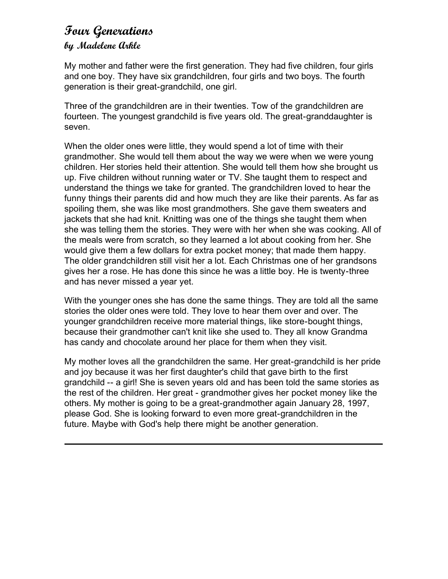#### **Four Generations by Madelene Arkle**

My mother and father were the first generation. They had five children, four girls and one boy. They have six grandchildren, four girls and two boys. The fourth generation is their great-grandchild, one girl.

Three of the grandchildren are in their twenties. Tow of the grandchildren are fourteen. The youngest grandchild is five years old. The great-granddaughter is seven.

When the older ones were little, they would spend a lot of time with their grandmother. She would tell them about the way we were when we were young children. Her stories held their attention. She would tell them how she brought us up. Five children without running water or TV. She taught them to respect and understand the things we take for granted. The grandchildren loved to hear the funny things their parents did and how much they are like their parents. As far as spoiling them, she was like most grandmothers. She gave them sweaters and jackets that she had knit. Knitting was one of the things she taught them when she was telling them the stories. They were with her when she was cooking. All of the meals were from scratch, so they learned a lot about cooking from her. She would give them a few dollars for extra pocket money; that made them happy. The older grandchildren still visit her a lot. Each Christmas one of her grandsons gives her a rose. He has done this since he was a little boy. He is twenty-three and has never missed a year yet.

With the younger ones she has done the same things. They are told all the same stories the older ones were told. They love to hear them over and over. The younger grandchildren receive more material things, like store-bought things, because their grandmother can't knit like she used to. They all know Grandma has candy and chocolate around her place for them when they visit.

My mother loves all the grandchildren the same. Her great-grandchild is her pride and joy because it was her first daughter's child that gave birth to the first grandchild -- a girl! She is seven years old and has been told the same stories as the rest of the children. Her great - grandmother gives her pocket money like the others. My mother is going to be a great-grandmother again January 28, 1997, please God. She is looking forward to even more great-grandchildren in the future. Maybe with God's help there might be another generation.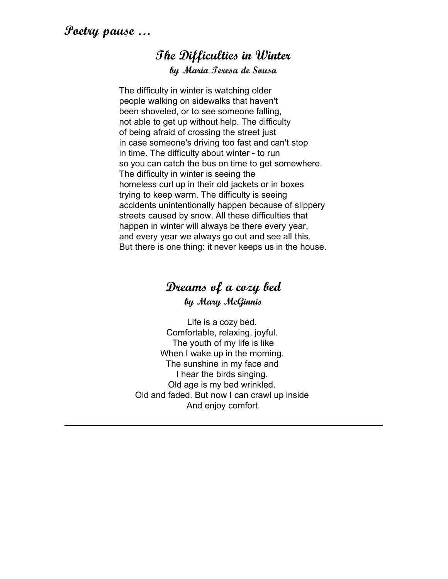#### **The Difficulties in Winter by Maria Teresa de Sousa**

The difficulty in winter is watching older people walking on sidewalks that haven't been shoveled, or to see someone falling, not able to get up without help. The difficulty of being afraid of crossing the street just in case someone's driving too fast and can't stop in time. The difficulty about winter - to run so you can catch the bus on time to get somewhere. The difficulty in winter is seeing the homeless curl up in their old jackets or in boxes trying to keep warm. The difficulty is seeing accidents unintentionally happen because of slippery streets caused by snow. All these difficulties that happen in winter will always be there every year, and every year we always go out and see all this. But there is one thing: it never keeps us in the house.

### **Dreams of a cozy bed by Mary McGinnis**

Life is a cozy bed. Comfortable, relaxing, joyful. The youth of my life is like When I wake up in the morning. The sunshine in my face and I hear the birds singing. Old age is my bed wrinkled. Old and faded. But now I can crawl up inside And enjoy comfort.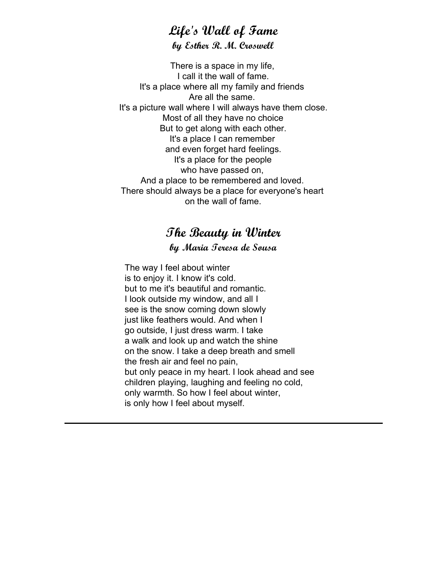#### **Life's Wall of Fame by Esther R. M. Croswell**

There is a space in my life, I call it the wall of fame. It's a place where all my family and friends Are all the same. It's a picture wall where I will always have them close. Most of all they have no choice But to get along with each other. It's a place I can remember and even forget hard feelings. It's a place for the people who have passed on, And a place to be remembered and loved. There should always be a place for everyone's heart on the wall of fame.

#### **The Beauty in Winter by Maria Teresa de Sousa**

The way I feel about winter is to enjoy it. I know it's cold. but to me it's beautiful and romantic. I look outside my window, and all I see is the snow coming down slowly just like feathers would. And when I go outside, I just dress warm. I take a walk and look up and watch the shine on the snow. I take a deep breath and smell the fresh air and feel no pain, but only peace in my heart. I look ahead and see children playing, laughing and feeling no cold, only warmth. So how I feel about winter, is only how I feel about myself.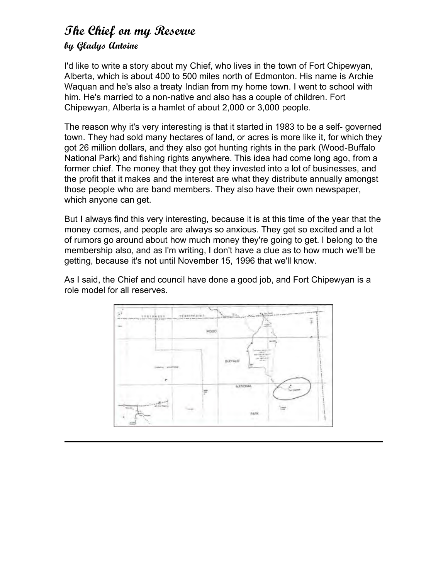### **The Chief on my Reserve by Gladys Antoine**

I'd like to write a story about my Chief, who lives in the town of Fort Chipewyan, Alberta, which is about 400 to 500 miles north of Edmonton. His name is Archie Waquan and he's also a treaty Indian from my home town. I went to school with him. He's married to a non-native and also has a couple of children. Fort Chipewyan, Alberta is a hamlet of about 2,000 or 3,000 people.

The reason why it's very interesting is that it started in 1983 to be a self- governed town. They had sold many hectares of land, or acres is more like it, for which they got 26 million dollars, and they also got hunting rights in the park (Wood-Buffalo National Park) and fishing rights anywhere. This idea had come long ago, from a former chief. The money that they got they invested into a lot of businesses, and the profit that it makes and the interest are what they distribute annually amongst those people who are band members. They also have their own newspaper, which anyone can get.

But I always find this very interesting, because it is at this time of the year that the money comes, and people are always so anxious. They get so excited and a lot of rumors go around about how much money they're going to get. I belong to the membership also, and as I'm writing, I don't have a clue as to how much we'll be getting, because it's not until November 15, 1996 that we'll know.

As I said, the Chief and council have done a good job, and Fort Chipewyan is a role model for all reserves.

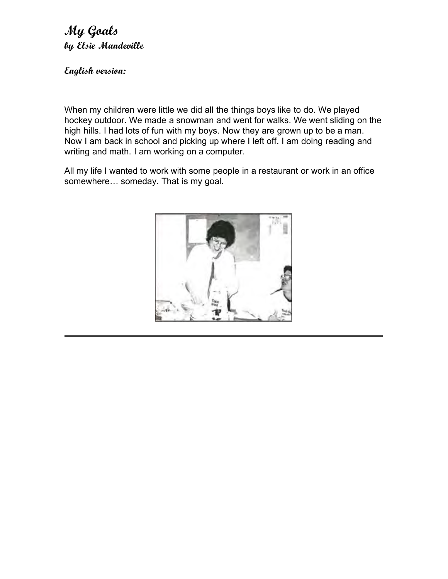**My Goals by Elsie Mandeville**

**English version:**

When my children were little we did all the things boys like to do. We played hockey outdoor. We made a snowman and went for walks. We went sliding on the high hills. I had lots of fun with my boys. Now they are grown up to be a man. Now I am back in school and picking up where I left off. I am doing reading and writing and math. I am working on a computer.

All my life I wanted to work with some people in a restaurant or work in an office somewhere… someday. That is my goal.

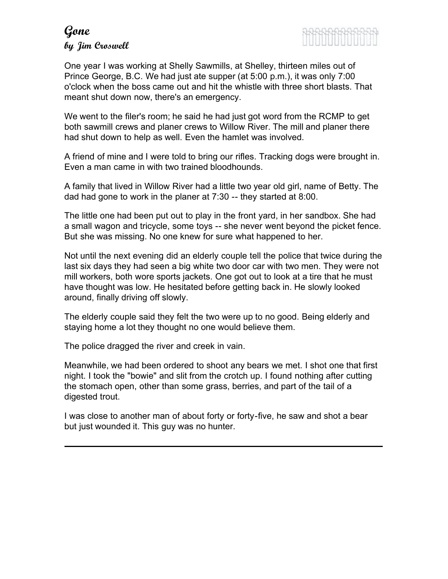### **Gone by Jim Croswell**



One year I was working at Shelly Sawmills, at Shelley, thirteen miles out of Prince George, B.C. We had just ate supper (at 5:00 p.m.), it was only 7:00 o'clock when the boss came out and hit the whistle with three short blasts. That meant shut down now, there's an emergency.

We went to the filer's room; he said he had just got word from the RCMP to get both sawmill crews and planer crews to Willow River. The mill and planer there had shut down to help as well. Even the hamlet was involved.

A friend of mine and I were told to bring our rifles. Tracking dogs were brought in. Even a man came in with two trained bloodhounds.

A family that lived in Willow River had a little two year old girl, name of Betty. The dad had gone to work in the planer at 7:30 -- they started at 8:00.

The little one had been put out to play in the front yard, in her sandbox. She had a small wagon and tricycle, some toys -- she never went beyond the picket fence. But she was missing. No one knew for sure what happened to her.

Not until the next evening did an elderly couple tell the police that twice during the last six days they had seen a big white two door car with two men. They were not mill workers, both wore sports jackets. One got out to look at a tire that he must have thought was low. He hesitated before getting back in. He slowly looked around, finally driving off slowly.

The elderly couple said they felt the two were up to no good. Being elderly and staying home a lot they thought no one would believe them.

The police dragged the river and creek in vain.

Meanwhile, we had been ordered to shoot any bears we met. I shot one that first night. I took the "bowie" and slit from the crotch up. I found nothing after cutting the stomach open, other than some grass, berries, and part of the tail of a digested trout.

I was close to another man of about forty or forty-five, he saw and shot a bear but just wounded it. This guy was no hunter.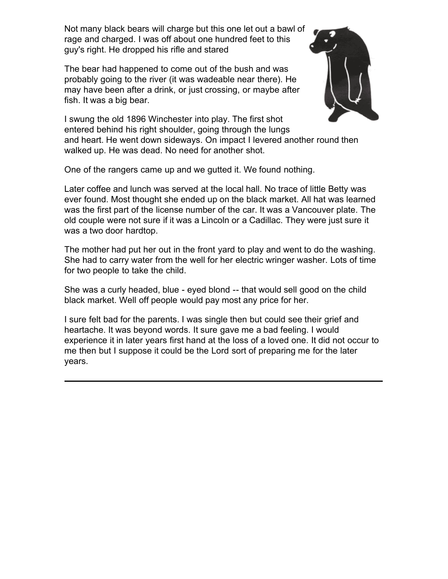Not many black bears will charge but this one let out a bawl of rage and charged. I was off about one hundred feet to this guy's right. He dropped his rifle and stared

The bear had happened to come out of the bush and was probably going to the river (it was wadeable near there). He may have been after a drink, or just crossing, or maybe after fish. It was a big bear.



I swung the old 1896 Winchester into play. The first shot entered behind his right shoulder, going through the lungs and heart. He went down sideways. On impact I levered another round then walked up. He was dead. No need for another shot.

One of the rangers came up and we gutted it. We found nothing.

Later coffee and lunch was served at the local hall. No trace of little Betty was ever found. Most thought she ended up on the black market. All hat was learned was the first part of the license number of the car. It was a Vancouver plate. The old couple were not sure if it was a Lincoln or a Cadillac. They were just sure it was a two door hardtop.

The mother had put her out in the front yard to play and went to do the washing. She had to carry water from the well for her electric wringer washer. Lots of time for two people to take the child.

She was a curly headed, blue - eyed blond -- that would sell good on the child black market. Well off people would pay most any price for her.

I sure felt bad for the parents. I was single then but could see their grief and heartache. It was beyond words. It sure gave me a bad feeling. I would experience it in later years first hand at the loss of a loved one. It did not occur to me then but I suppose it could be the Lord sort of preparing me for the later years.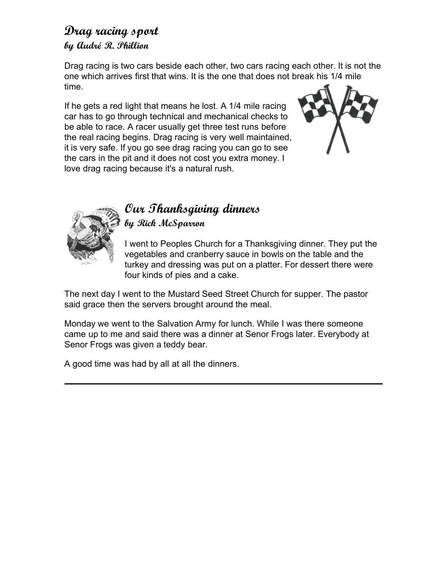#### **Drag racing sport by Audré R. Phillion**

Drag racing is two cars beside each other, two cars racing each other. It is not the one which arrives first that wins. It is the one that does not break his 1/4 mile time.

If he gets a red light that means he lost. A 1/4 mile racing car has to go through technical and mechanical checks to be able to race. A racer usually get three test runs before the real racing begins. Drag racing is very well maintained, it is very safe. If you go see drag racing you can go to see the cars in the pit and it does not cost you extra money. I love drag racing because it's a natural rush.





#### **Our Thanksgiving dinners by Rick McSparron**

I went to Peoples Church for a Thanksgiving dinner. They put the vegetables and cranberry sauce in bowls on the table and the turkey and dressing was put on a platter. For dessert there were four kinds of pies and a cake.

The next day I went to the Mustard Seed Street Church for supper. The pastor said grace then the servers brought around the meal.

Monday we went to the Salvation Army for lunch. While I was there someone came up to me and said there was a dinner at Senor Frogs later. Everybody at Senor Frogs was given a teddy bear.

A good time was had by all at all the dinners.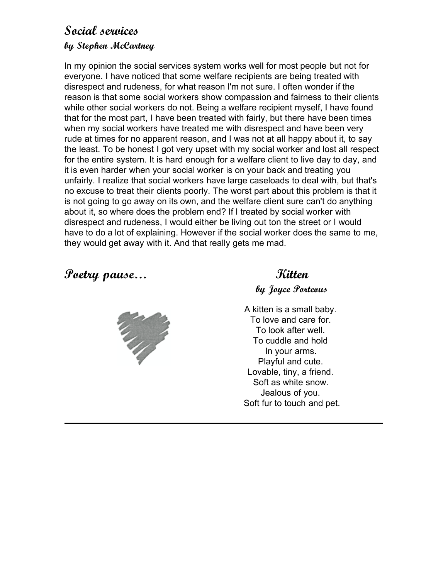#### **Social services by Stephen McCartney**

In my opinion the social services system works well for most people but not for everyone. I have noticed that some welfare recipients are being treated with disrespect and rudeness, for what reason I'm not sure. I often wonder if the reason is that some social workers show compassion and fairness to their clients while other social workers do not. Being a welfare recipient myself, I have found that for the most part, I have been treated with fairly, but there have been times when my social workers have treated me with disrespect and have been very rude at times for no apparent reason, and I was not at all happy about it, to say the least. To be honest I got very upset with my social worker and lost all respect for the entire system. It is hard enough for a welfare client to live day to day, and it is even harder when your social worker is on your back and treating you unfairly. I realize that social workers have large caseloads to deal with, but that's no excuse to treat their clients poorly. The worst part about this problem is that it is not going to go away on its own, and the welfare client sure can't do anything about it, so where does the problem end? If I treated by social worker with disrespect and rudeness, I would either be living out ton the street or I would have to do a lot of explaining. However if the social worker does the same to me, they would get away with it. And that really gets me mad.

**Poetry pause… Kitten**



**by Joyce Porteous**

A kitten is a small baby. To love and care for. To look after well. To cuddle and hold In your arms. Playful and cute. Lovable, tiny, a friend. Soft as white snow. Jealous of you. Soft fur to touch and pet.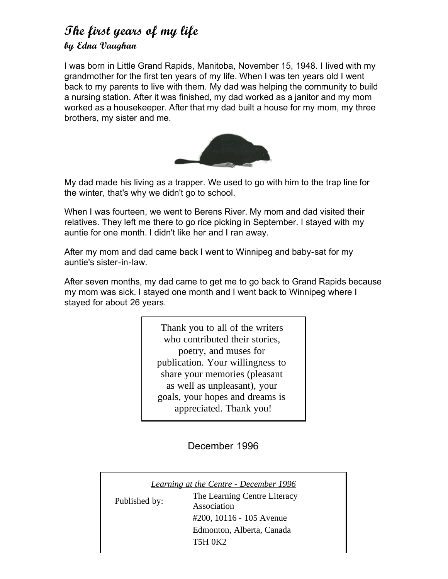#### **The first years of my life by Edna Vaughan**

I was born in Little Grand Rapids, Manitoba, November 15, 1948. I lived with my grandmother for the first ten years of my life. When I was ten years old I went back to my parents to live with them. My dad was helping the community to build a nursing station. After it was finished, my dad worked as a janitor and my mom worked as a housekeeper. After that my dad built a house for my mom, my three brothers, my sister and me.



My dad made his living as a trapper. We used to go with him to the trap line for the winter, that's why we didn't go to school.

When I was fourteen, we went to Berens River. My mom and dad visited their relatives. They left me there to go rice picking in September. I stayed with my auntie for one month. I didn't like her and I ran away.

After my mom and dad came back I went to Winnipeg and baby-sat for my auntie's sister-in-law.

After seven months, my dad came to get me to go back to Grand Rapids because my mom was sick. I stayed one month and I went back to Winnipeg where I stayed for about 26 years.

> Thank you to all of the writers who contributed their stories. poetry, and muses for publication. Your willingness to share your memories (pleasant as well as unpleasant), your goals, your hopes and dreams is appreciated. Thank you!

> > December 1996

*Learning at the Centre - December 1996* Published by: The Learning Centre Literacy Association #200, 10116 - 105 Avenue Edmonton, Alberta, Canada T5H 0K2